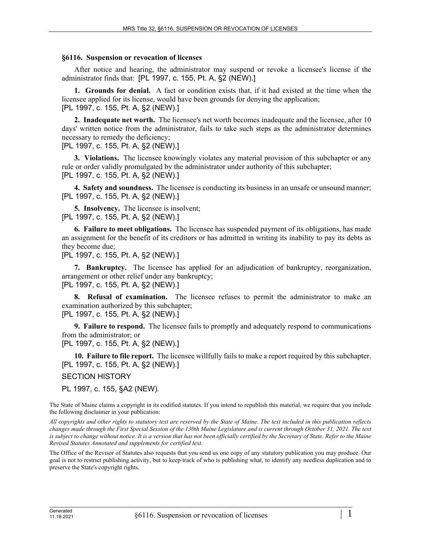## **§6116. Suspension or revocation of licenses**

After notice and hearing, the administrator may suspend or revoke a licensee's license if the administrator finds that: [PL 1997, c. 155, Pt. A, §2 (NEW).]

**1. Grounds for denial.** A fact or condition exists that, if it had existed at the time when the licensee applied for its license, would have been grounds for denying the application; [PL 1997, c. 155, Pt. A, §2 (NEW).]

**2. Inadequate net worth.** The licensee's net worth becomes inadequate and the licensee, after 10 days' written notice from the administrator, fails to take such steps as the administrator determines necessary to remedy the deficiency;

[PL 1997, c. 155, Pt. A, §2 (NEW).]

**3. Violations.** The licensee knowingly violates any material provision of this subchapter or any rule or order validly promulgated by the administrator under authority of this subchapter; [PL 1997, c. 155, Pt. A, §2 (NEW).]

**4. Safety and soundness.** The licensee is conducting its business in an unsafe or unsound manner; [PL 1997, c. 155, Pt. A, §2 (NEW).]

**5. Insolvency.** The licensee is insolvent; [PL 1997, c. 155, Pt. A, §2 (NEW).]

**6. Failure to meet obligations.** The licensee has suspended payment of its obligations, has made an assignment for the benefit of its creditors or has admitted in writing its inability to pay its debts as they become due;

[PL 1997, c. 155, Pt. A, §2 (NEW).]

**7. Bankruptcy.** The licensee has applied for an adjudication of bankruptcy, reorganization, arrangement or other relief under any bankruptcy; [PL 1997, c. 155, Pt. A, §2 (NEW).]

**8. Refusal of examination.** The licensee refuses to permit the administrator to make an examination authorized by this subchapter; [PL 1997, c. 155, Pt. A, §2 (NEW).]

**9. Failure to respond.** The licensee fails to promptly and adequately respond to communications from the administrator; or

[PL 1997, c. 155, Pt. A, §2 (NEW).]

**10. Failure to file report.** The licensee willfully fails to make a report required by this subchapter. [PL 1997, c. 155, Pt. A, §2 (NEW).]

SECTION HISTORY

PL 1997, c. 155, §A2 (NEW).

The State of Maine claims a copyright in its codified statutes. If you intend to republish this material, we require that you include the following disclaimer in your publication:

*All copyrights and other rights to statutory text are reserved by the State of Maine. The text included in this publication reflects changes made through the First Special Session of the 130th Maine Legislature and is current through October 31, 2021. The text*  is subject to change without notice. It is a version that has not been officially certified by the Secretary of State. Refer to the Maine *Revised Statutes Annotated and supplements for certified text.*

The Office of the Revisor of Statutes also requests that you send us one copy of any statutory publication you may produce. Our goal is not to restrict publishing activity, but to keep track of who is publishing what, to identify any needless duplication and to preserve the State's copyright rights.